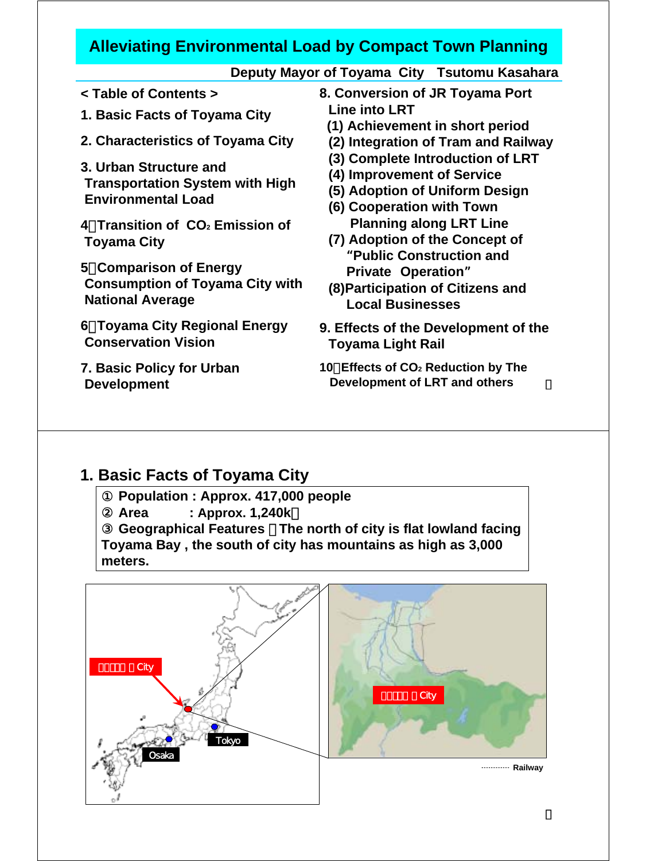#### **Alleviating Environmental Load by Compact Town Planning**

|--|

- **< Table of Contents >**
- **1. Basic Facts of Toyama City**
- **2. Characteristics of Toyama City**
- **3. Urban Structure and Transportation System with High Environmental Load**
- **4**.**Transition of CO2 Emission of Toyama City**
- **5**.**Comparison of Energy Consumption of Toyama City with National Average**
- **6**.**Toyama City Regional Energy Conservation Vision**
- **7. Basic Policy for Urban Development**
- **8. Conversion of JR Toyama Port Line into LRT** 
	- **(1) Achievement in short period**
	- **(2) Integration of Tram and Railway**
	- **(3) Complete Introduction of LRT**
	- **(4) Improvement of Service**
	- **(5) Adoption of Uniform Design**
	- **(6) Cooperation with Town Planning along LRT Line**
	- **(7) Adoption of the Concept of**  "**Public Construction and Private Operation**"
	- **(8)Participation of Citizens and Local Businesses**
- **9. Effects of the Development of the Toyama Light Rail**
- **10**.**Effects of CO2 Reduction by The Development of LRT and others**

### **1. Basic Facts of Toyama City**

① **Population : Approx. 417,000 people Area : Approx. 1,240k** ③ **Geographical Features** : **The north of city is flat lowland facing Toyama Bay , the south of city has mountains as high as 3,000 meters.**

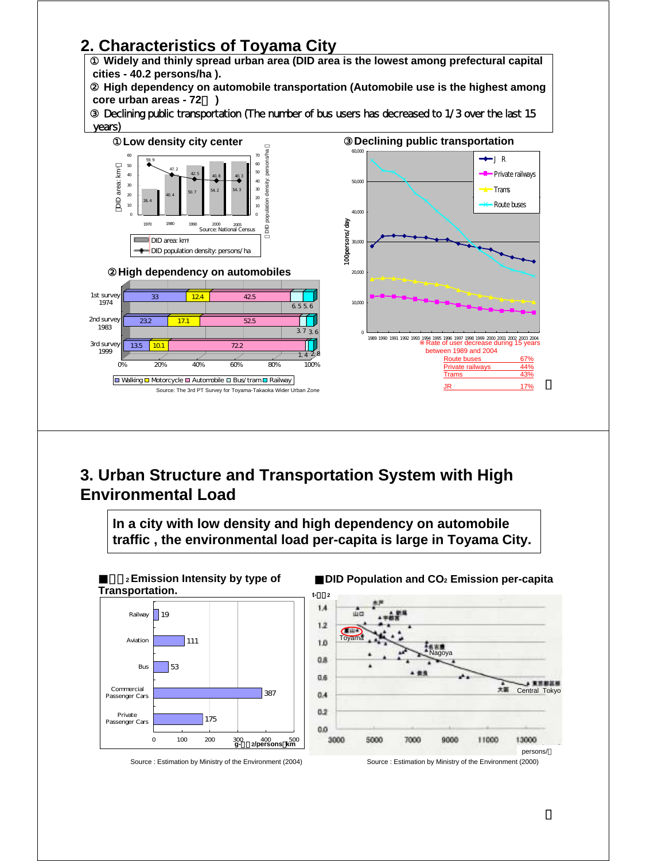# **2. Characteristics of Toyama City**



#### **3. Urban Structure and Transportation System with High Environmental Load**

**In a city with low density and high dependency on automobile traffic , the environmental load per-capita is large in Toyama City.**



■**DID Population and CO2 Emission per-capita t-**CO**2**



Source : Estimation by Ministry of the Environment (2004)

Source : Estimation by Ministry of the Environment (2000)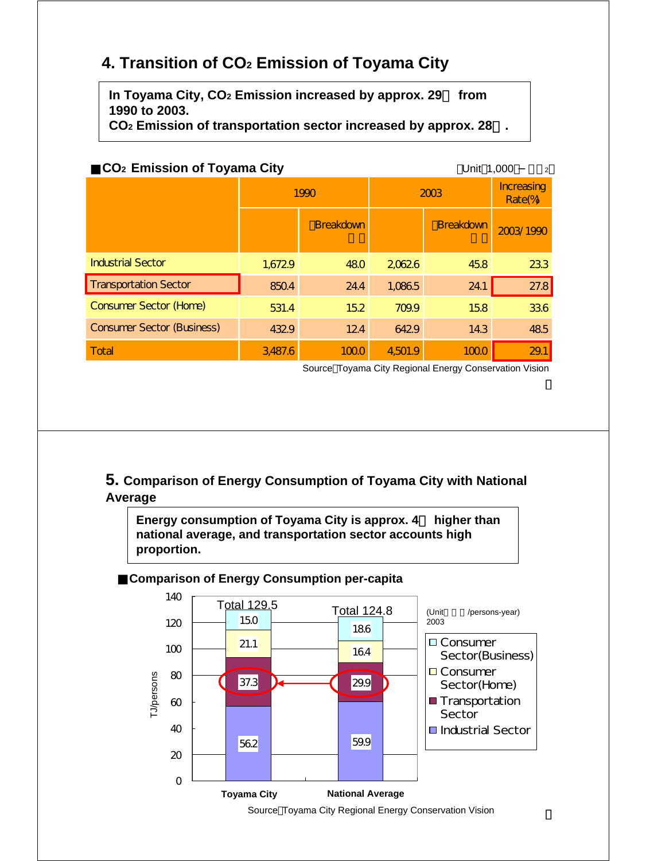## **4. Transition of CO2 Emission of Toyama City**

**In Toyama City, CO2 Emission increased by approx. 29**% **from 1990 to 2003.**

**CO2 Emission of transportation sector increased by approx. 28**%**.**

| CO <sub>2</sub> Emission of Toyama City | Unit 1,000<br>$\overline{2}$ |                  |         |                      |           |
|-----------------------------------------|------------------------------|------------------|---------|----------------------|-----------|
|                                         | 1990                         |                  | 2003    | Increasing<br>Rate(% |           |
|                                         |                              | <b>Breakdown</b> |         | <b>Breakdown</b>     | 2003/1990 |
| <b>Industrial Sector</b>                | 1,6729                       | 480              | 20626   | 45.8                 | 233       |
| <b>Transportation Sector</b>            | 850.4                        | 24.4             | 1,0865  | 24.1                 | 27.8      |
| <b>Consumer Sector (Home)</b>           | 531.4                        | 152              | 709.9   | 158                  | 336       |
| <b>Consumer Sector (Business)</b>       | 4329                         | 124              | 6429    | 14.3                 | 485       |
| Total                                   | 3,487.6                      | 1000             | 4,501.9 | 1000                 | 29.1      |

Source Toyama City Regional Energy Conservation Vision

**5. Comparison of Energy Consumption of Toyama City with National Average**

**Energy consumption of Toyama City is approx. 4**% **higher than national average, and transportation sector accounts high proportion.**

#### ■**Comparison of Energy Consumption per-capita**

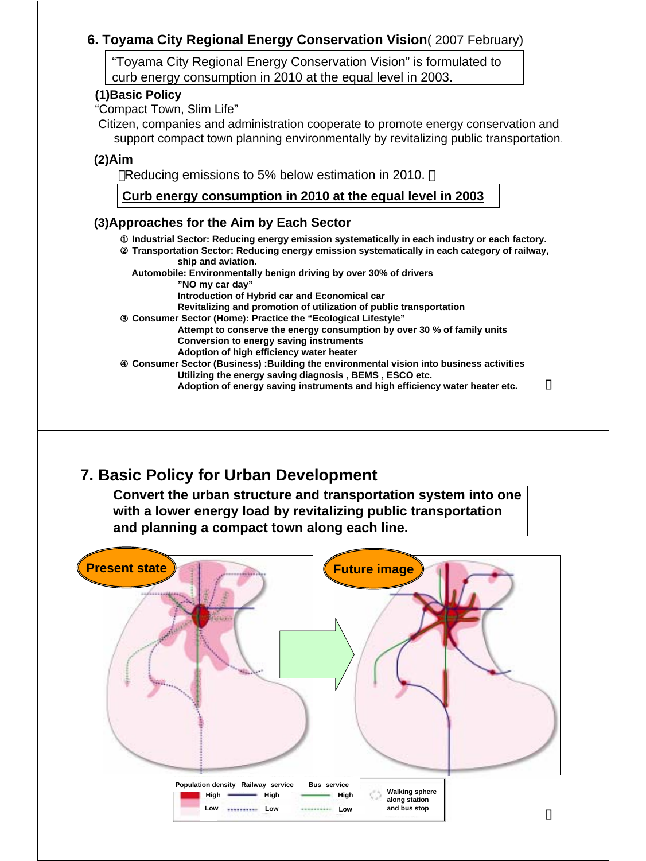#### **6. Toyama City Regional Energy Conservation Vision**( 2007 February)

"Toyama City Regional Energy Conservation Vision" is formulated to curb energy consumption in 2010 at the equal level in 2003.

#### **(1)Basic Policy**

"Compact Town, Slim Life"

Citizen, companies and administration cooperate to promote energy conservation and support compact town planning environmentally by revitalizing public transportation.

#### **(2)Aim**

Reducing emissions to 5% below estimation in 2010.

#### **Curb energy consumption in 2010 at the equal level in 2003**

#### **(3)Approaches for the Aim by Each Sector**

① **Industrial Sector: Reducing energy emission systematically in each industry or each factory.** ② **Transportation Sector: Reducing energy emission systematically in each category of railway, ship and aviation. Automobile: Environmentally benign driving by over 30% of drivers "NO my car day" Introduction of Hybrid car and Economical car Revitalizing and promotion of utilization of public transportation** ③ **Consumer Sector (Home): Practice the "Ecological Lifestyle" Attempt to conserve the energy consumption by over 30 % of family units Conversion to energy saving instruments Adoption of high efficiency water heater** ④ **Consumer Sector (Business) :Building the environmental vision into business activities Utilizing the energy saving diagnosis , BEMS , ESCO etc. Adoption of energy saving instruments and high efficiency water heater etc.** 

### **7. Basic Policy for Urban Development**

**Convert the urban structure and transportation system into one with a lower energy load by revitalizing public transportation and planning a compact town along each line.**



|      | Population density Railway service |      | <b>Bus service</b> |      |                                        |
|------|------------------------------------|------|--------------------|------|----------------------------------------|
| Hiah |                                    | Hiah |                    | Hiah | <b>Walking sphere</b><br>along station |
| Low  | --------                           | Low  |                    | Low  | and bus stop                           |
|      |                                    |      |                    |      |                                        |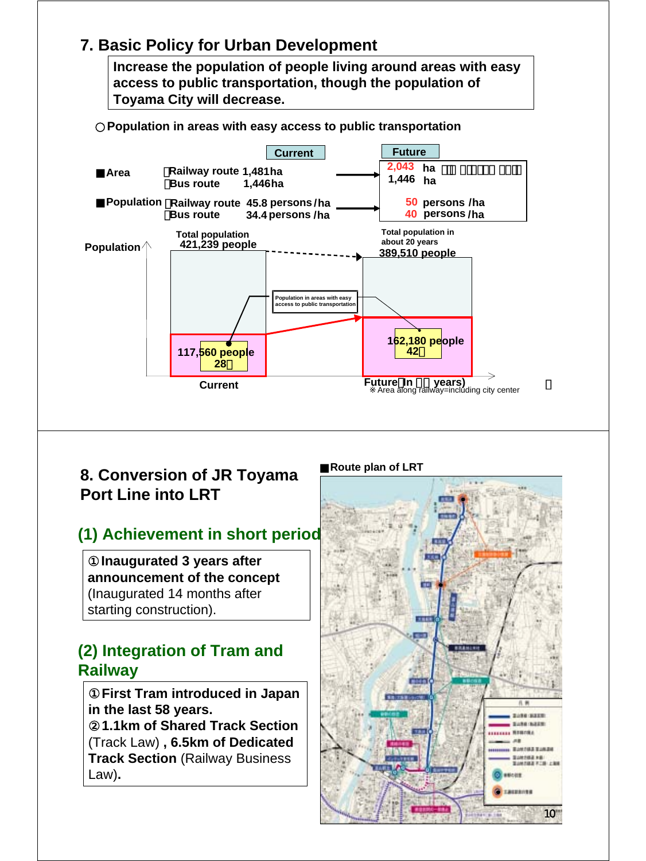#### **7. Basic Policy for Urban Development**

**Increase the population of people living around areas with easy access to public transportation, though the population of Toyama City will decrease.**



#### **8. Conversion of JR Toyama Port Line into LRT**

# **(1) Achievement in short period**

**Inaugurated 3 years after announcement of the concept**  (Inaugurated 14 months after starting construction).

### **(2) Integration of Tram and Railway**

**First Tram introduced in Japan in the last 58 years.**

**1.1km of Shared Track Section** (Track Law) **, 6.5km of Dedicated Track Section** (Railway Business Law)**.**

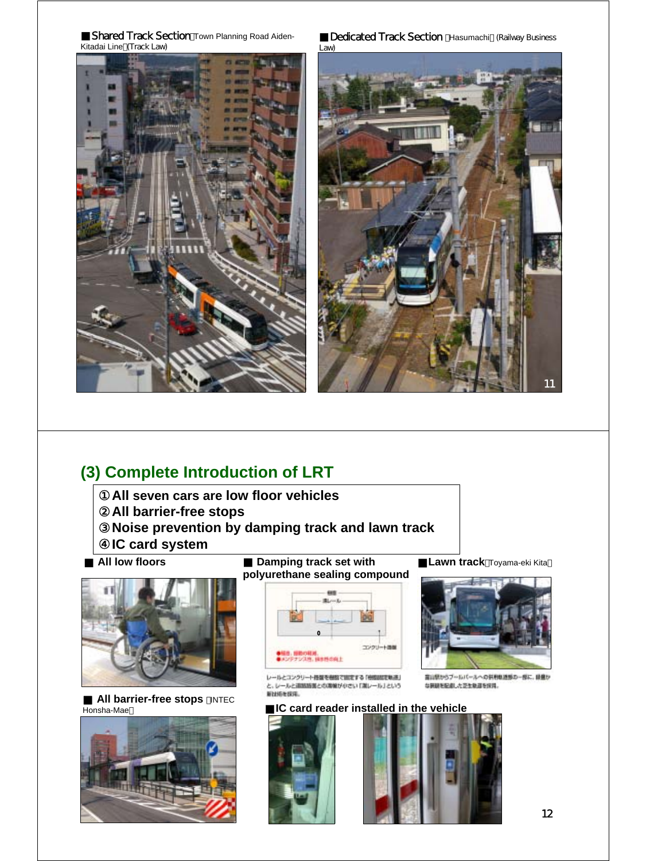

Dedicated Track Section Hasumachi (Railway Business



## **(3) Complete Introduction of LRT**

**All seven cars are low floor vehicles All barrier-free stops Noise prevention by damping track and lawn track IC card system**

■ **All low floors**



**All barrier-free stops** INTEC Honsha-Mae



**Damping track set with polyurethane sealing compound**



レールとコンクリート技能を機能で固定する「他性調査を検討」 と、レールと追加路面との海域が中さい「潜レール」という MINISTERS.

Lawn track Toyama-eki Kita



言山気からブールバールへの外形転送部の一部に、最盛か な同期を配慮した正性取締を保護。

#### IC card reader installed in the vehicle



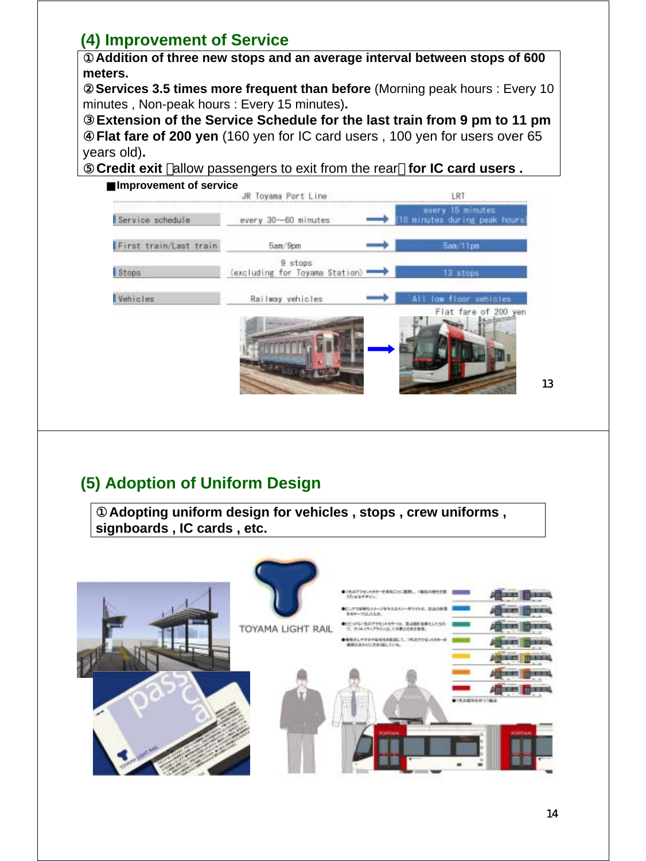## **(4) Improvement of Service**

Addition of three new stops and an average interval between stops of 600 **meters.**

**Services 3.5 times more frequent than before** *(Morning peak hours : Every 10***)** minutes , Non-peak hours : Every 15 minutes)**.** 

**Extension of the Service Schedule for the last train from 9 pm to 11 pm** Flat fare of 200 yen (160 yen for IC card users, 100 yen for users over 65 years old)**.**

⑤**Credit exit** allow passengers to exit from the rear **for IC card users .**



# **(5) Adoption of Uniform Design**

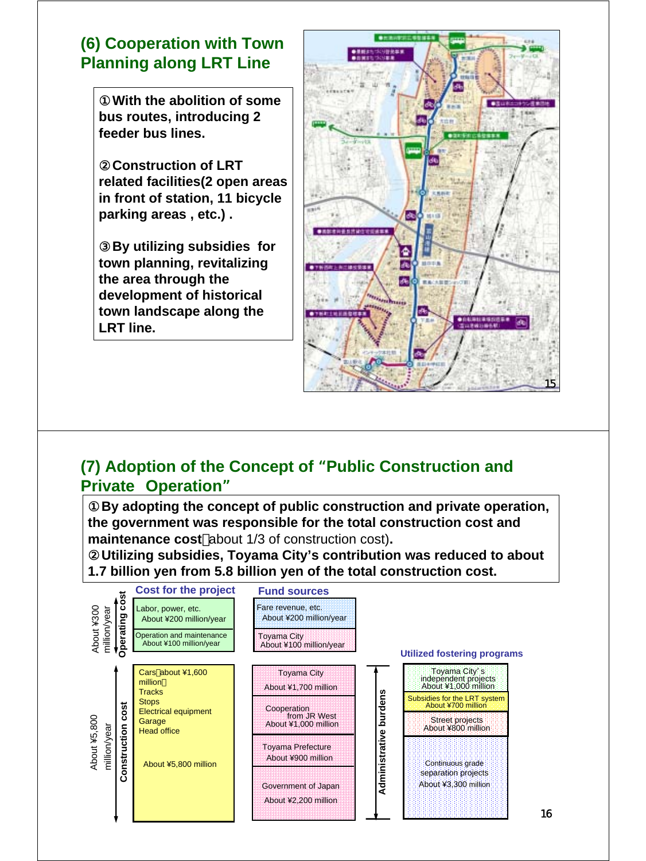## **(6) Cooperation with Town Planning along LRT Line**

With the abolition of some **bus routes, introducing 2 feeder bus lines.**

**Construction of LRT related facilities(2 open areas in front of station, 11 bicycle parking areas , etc.) .**

By utilizing subsidies for **town planning, revitalizing the area through the development of historical town landscape along the LRT line.** 



#### **(7) Adoption of the Concept of** "**Public Construction and Private Operation**"

By adopting the concept of public construction and private operation, **the government was responsible for the total construction cost and maintenance cost** about 1/3 of construction cost)**.**

②**Utilizing subsidies, Toyama City's contribution was reduced to about 1.7 billion yen from 5.8 billion yen of the total construction cost.**

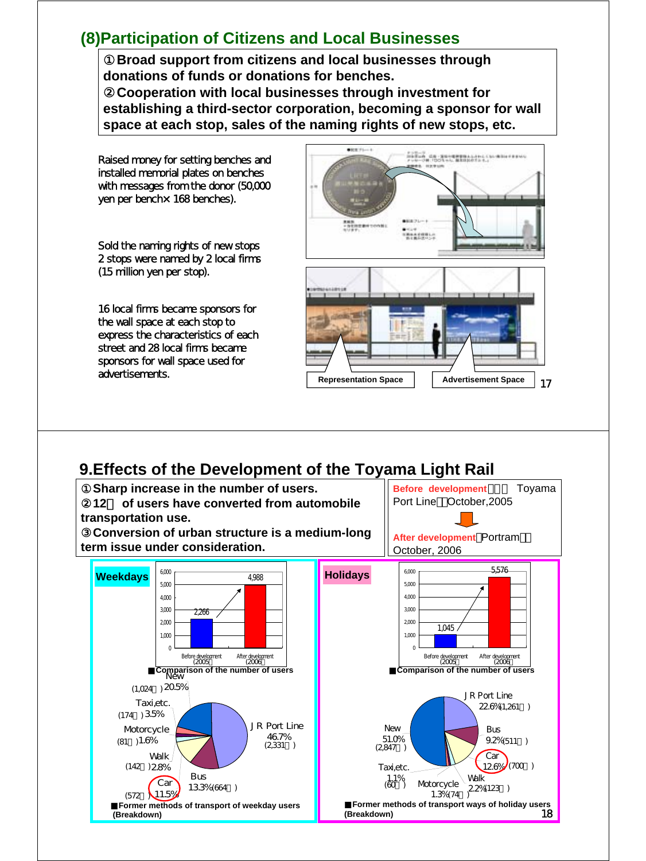#### **(8)Participation of Citizens and Local Businesses**

①**Broad support from citizens and local businesses through donations of funds or donations for benches.**

②**Cooperation with local businesses through investment for establishing a third-sector corporation, becoming a sponsor for wall space at each stop, sales of the naming rights of new stops, etc.**

Raised money for setting benches and installed memorial plates on benches with messages from the donor (50,000 yen per bench× 168 benches).

Sold the naming rights of new stops 2 stops were named by 2 local firms (15 million yen per stop).

16 local firms became sponsors for the wall space at each stop to express the characteristics of each street and 28 local firms became sponsors for wall space used for advertisements.



#### **9.Effects of the Development of the Toyama Light Rail**